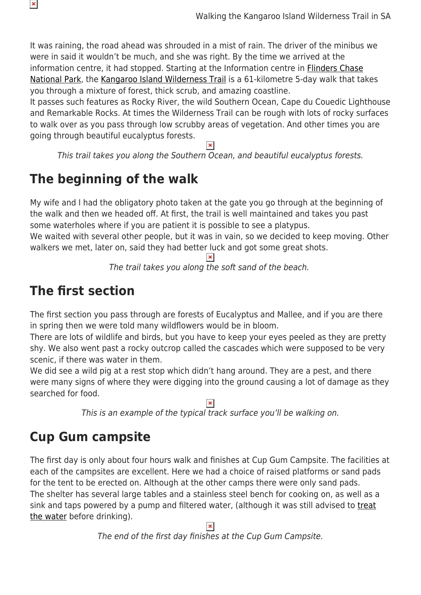It was raining, the road ahead was shrouded in a mist of rain. The driver of the minibus we were in said it wouldn't be much, and she was right. By the time we arrived at the information centre, it had stopped. Starting at the Information centre in **Flinders Chase** [National Park,](https://www.parks.sa.gov.au/find-a-park/Browse_by_region/kangaroo-island/flinders-chase-national-park) the [Kangaroo Island Wilderness Trail](https://www.kangarooislandwildernesstrail.sa.gov.au/home) is a 61-kilometre 5-day walk that takes you through a mixture of forest, thick scrub, and amazing coastline.

It passes such features as Rocky River, the wild Southern Ocean, Cape du Couedic Lighthouse and Remarkable Rocks. At times the Wilderness Trail can be rough with lots of rocky surfaces to walk over as you pass through low scrubby areas of vegetation. And other times you are going through beautiful eucalyptus forests.

This trail takes you along the Southern Ocean, and beautiful eucalyptus forests.

## **The beginning of the walk**

My wife and I had the obligatory photo taken at the gate you go through at the beginning of the walk and then we headed off. At first, the trail is well maintained and takes you past some waterholes where if you are patient it is possible to see a platypus.

We waited with several other people, but it was in vain, so we decided to keep moving. Other walkers we met, later on, said they had better luck and got some great shots.

The trail takes you along the soft sand of the beach.

## **The first section**

 $\pmb{\times}$ 

The first section you pass through are forests of Eucalyptus and Mallee, and if you are there in spring then we were told many wildflowers would be in bloom.

There are lots of wildlife and birds, but you have to keep your eyes peeled as they are pretty shy. We also went past a rocky outcrop called the cascades which were supposed to be very scenic, if there was water in them.

We did see a wild pig at a rest stop which didn't hang around. They are a pest, and there were many signs of where they were digging into the ground causing a lot of damage as they searched for food.

This is an example of the typical track surface you'll be walking on.

## **Cup Gum campsite**

The first day is only about four hours walk and finishes at Cup Gum Campsite. The facilities at each of the campsites are excellent. Here we had a choice of raised platforms or sand pads for the tent to be erected on. Although at the other camps there were only sand pads. The shelter has several large tables and a stainless steel bench for cooking on, as well as a sink and taps powered by a pump and filtered water, (although it was still advised to [treat](https://www.snowys.com.au/water-purification) [the water](https://www.snowys.com.au/water-purification) before drinking).

The end of the first day finishes at the Cup Gum Campsite.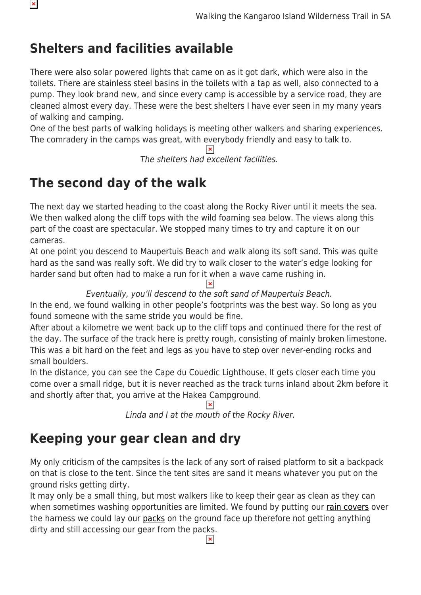## **Shelters and facilities available**

 $\pmb{\times}$ 

There were also solar powered lights that came on as it got dark, which were also in the toilets. There are stainless steel basins in the toilets with a tap as well, also connected to a pump. They look brand new, and since every camp is accessible by a service road, they are cleaned almost every day. These were the best shelters I have ever seen in my many years of walking and camping.

One of the best parts of walking holidays is meeting other walkers and sharing experiences. The comradery in the camps was great, with everybody friendly and easy to talk to.

The shelters had excellent facilities.

## **The second day of the walk**

The next day we started heading to the coast along the Rocky River until it meets the sea. We then walked along the cliff tops with the wild foaming sea below. The views along this part of the coast are spectacular. We stopped many times to try and capture it on our cameras.

At one point you descend to Maupertuis Beach and walk along its soft sand. This was quite hard as the sand was really soft. We did try to walk closer to the water's edge looking for harder sand but often had to make a run for it when a wave came rushing in.

Eventually, you'll descend to the soft sand of Maupertuis Beach.

In the end, we found walking in other people's footprints was the best way. So long as you found someone with the same stride you would be fine.

After about a kilometre we went back up to the cliff tops and continued there for the rest of the day. The surface of the track here is pretty rough, consisting of mainly broken limestone. This was a bit hard on the feet and legs as you have to step over never-ending rocks and small boulders.

In the distance, you can see the Cape du Couedic Lighthouse. It gets closer each time you come over a small ridge, but it is never reached as the track turns inland about 2km before it and shortly after that, you arrive at the Hakea Campground.

 $\pmb{\times}$ 

Linda and I at the mouth of the Rocky River.

## **Keeping your gear clean and dry**

My only criticism of the campsites is the lack of any sort of raised platform to sit a backpack on that is close to the tent. Since the tent sites are sand it means whatever you put on the ground risks getting dirty.

It may only be a small thing, but most walkers like to keep their gear as clean as they can when sometimes washing opportunities are limited. We found by putting our [rain covers](https://www.snowys.com.au/rucksacks#/specFilters=5m!#-!2784&pageSize=48&orderBy=0&pageNumber=1) over the harness we could lay our [packs](https://www.snowys.com.au/rucksacks) on the ground face up therefore not getting anything dirty and still accessing our gear from the packs.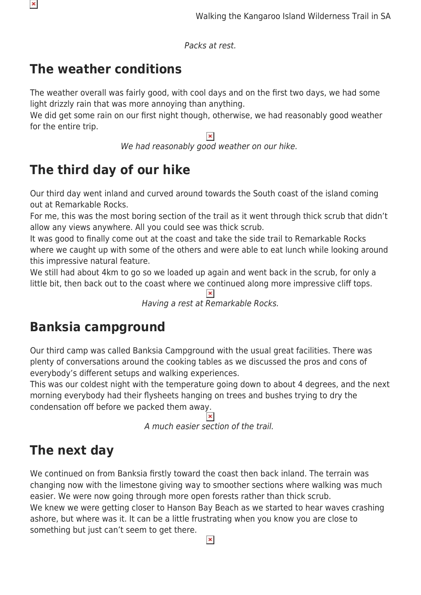Packs at rest.

## **The weather conditions**

 $\pmb{\times}$ 

The weather overall was fairly good, with cool days and on the first two days, we had some light drizzly rain that was more annoying than anything.

We did get some rain on our first night though, otherwise, we had reasonably good weather for the entire trip.

We had reasonably good weather on our hike.

# **The third day of our hike**

Our third day went inland and curved around towards the South coast of the island coming out at Remarkable Rocks.

For me, this was the most boring section of the trail as it went through thick scrub that didn't allow any views anywhere. All you could see was thick scrub.

It was good to finally come out at the coast and take the side trail to Remarkable Rocks where we caught up with some of the others and were able to eat lunch while looking around this impressive natural feature.

We still had about 4km to go so we loaded up again and went back in the scrub, for only a little bit, then back out to the coast where we continued along more impressive cliff tops.

 $\pmb{\times}$ Having a rest at Remarkable Rocks.

## **Banksia campground**

Our third camp was called Banksia Campground with the usual great facilities. There was plenty of conversations around the cooking tables as we discussed the pros and cons of everybody's different setups and walking experiences.

This was our coldest night with the temperature going down to about 4 degrees, and the next morning everybody had their flysheets hanging on trees and bushes trying to dry the condensation off before we packed them away.

A much easier section of the trail.

# **The next day**

We continued on from Banksia firstly toward the coast then back inland. The terrain was changing now with the limestone giving way to smoother sections where walking was much easier. We were now going through more open forests rather than thick scrub. We knew we were getting closer to Hanson Bay Beach as we started to hear waves crashing ashore, but where was it. It can be a little frustrating when you know you are close to something but just can't seem to get there.

 $\pmb{\times}$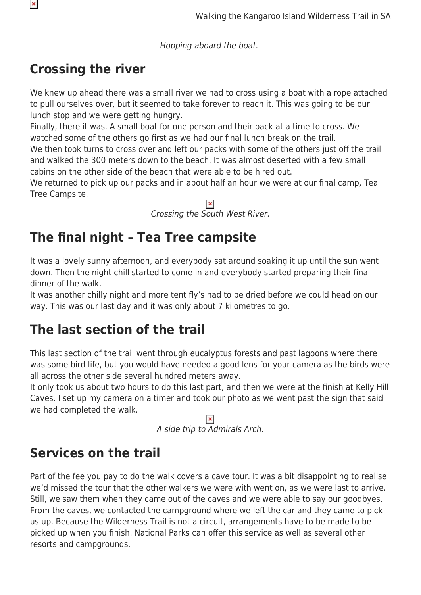Hopping aboard the boat.

## **Crossing the river**

 $\pmb{\times}$ 

We knew up ahead there was a small river we had to cross using a boat with a rope attached to pull ourselves over, but it seemed to take forever to reach it. This was going to be our lunch stop and we were getting hungry.

Finally, there it was. A small boat for one person and their pack at a time to cross. We watched some of the others go first as we had our final lunch break on the trail.

We then took turns to cross over and left our packs with some of the others just off the trail and walked the 300 meters down to the beach. It was almost deserted with a few small cabins on the other side of the beach that were able to be hired out.

We returned to pick up our packs and in about half an hour we were at our final camp, Tea Tree Campsite.

Crossing the South West River.

## **The final night – Tea Tree campsite**

It was a lovely sunny afternoon, and everybody sat around soaking it up until the sun went down. Then the night chill started to come in and everybody started preparing their final dinner of the walk.

It was another chilly night and more tent fly's had to be dried before we could head on our way. This was our last day and it was only about 7 kilometres to go.

### **The last section of the trail**

This last section of the trail went through eucalyptus forests and past lagoons where there was some bird life, but you would have needed a good lens for your camera as the birds were all across the other side several hundred meters away.

It only took us about two hours to do this last part, and then we were at the finish at Kelly Hill Caves. I set up my camera on a timer and took our photo as we went past the sign that said we had completed the walk.

 $\pmb{\times}$ A side trip to Admirals Arch.

### **Services on the trail**

Part of the fee you pay to do the walk covers a cave tour. It was a bit disappointing to realise we'd missed the tour that the other walkers we were with went on, as we were last to arrive. Still, we saw them when they came out of the caves and we were able to say our goodbyes. From the caves, we contacted the campground where we left the car and they came to pick us up. Because the Wilderness Trail is not a circuit, arrangements have to be made to be picked up when you finish. National Parks can offer this service as well as several other resorts and campgrounds.